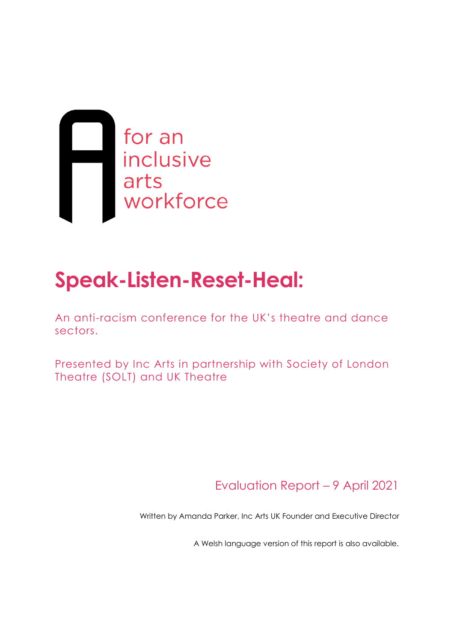

# **Speak-Listen-Reset-Heal:**

An anti-racism conference for the UK's theatre and dance sectors.

Presented by Inc Arts in partnership with Society of London Theatre (SOLT) and UK Theatre

Evaluation Report – 9 April 2021

Written by Amanda Parker, Inc Arts UK Founder and Executive Director

A Welsh language version of this report is also available.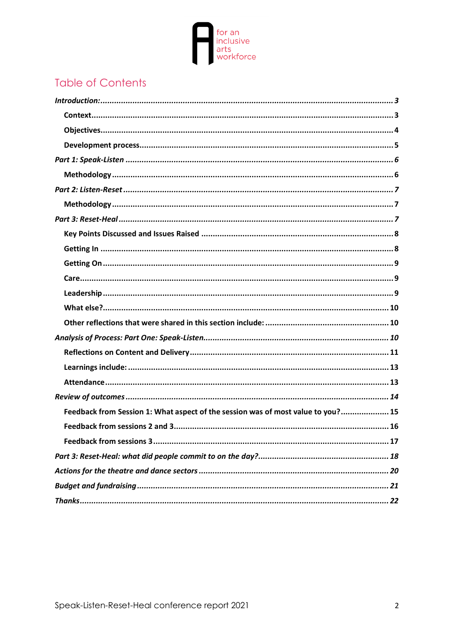

# Table of Contents

| Feedback from Session 1: What aspect of the session was of most value to you? 15 |  |  |
|----------------------------------------------------------------------------------|--|--|
|                                                                                  |  |  |
|                                                                                  |  |  |
|                                                                                  |  |  |
|                                                                                  |  |  |
|                                                                                  |  |  |
|                                                                                  |  |  |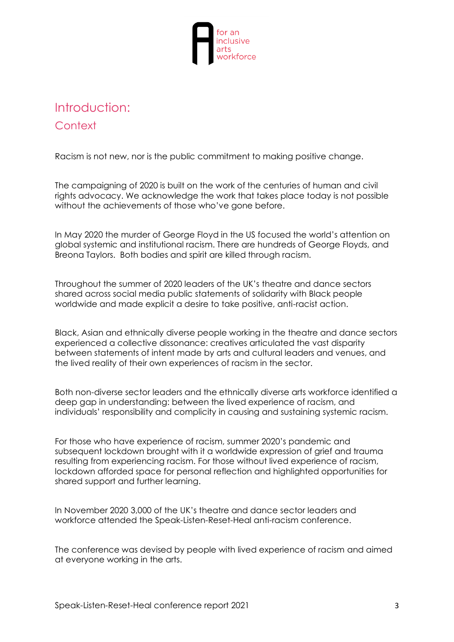

# <span id="page-2-1"></span><span id="page-2-0"></span>Introduction: **Context**

Racism is not new, nor is the public commitment to making positive change.

The campaigning of 2020 is built on the work of the centuries of human and civil rights advocacy. We acknowledge the work that takes place today is not possible without the achievements of those who've gone before.

In May 2020 the murder of George Floyd in the US focused the world's attention on global systemic and institutional racism. There are hundreds of George Floyds, and Breona Taylors. Both bodies and spirit are killed through racism.

Throughout the summer of 2020 leaders of the UK's theatre and dance sectors shared across social media public statements of solidarity with Black people worldwide and made explicit a desire to take positive, anti-racist action.

Black, Asian and ethnically diverse people working in the theatre and dance sectors experienced a collective dissonance: creatives articulated the vast disparity between statements of intent made by arts and cultural leaders and venues, and the lived reality of their own experiences of racism in the sector.

Both non-diverse sector leaders and the ethnically diverse arts workforce identified a deep gap in understanding: between the lived experience of racism, and individuals' responsibility and complicity in causing and sustaining systemic racism.

For those who have experience of racism, summer 2020's pandemic and subsequent lockdown brought with it a worldwide expression of grief and trauma resulting from experiencing racism. For those without lived experience of racism, lockdown afforded space for personal reflection and highlighted opportunities for shared support and further learning.

In November 2020 3,000 of the UK's theatre and dance sector leaders and workforce attended the Speak-Listen-Reset-Heal anti-racism conference.

The conference was devised by people with lived experience of racism and aimed at everyone working in the arts.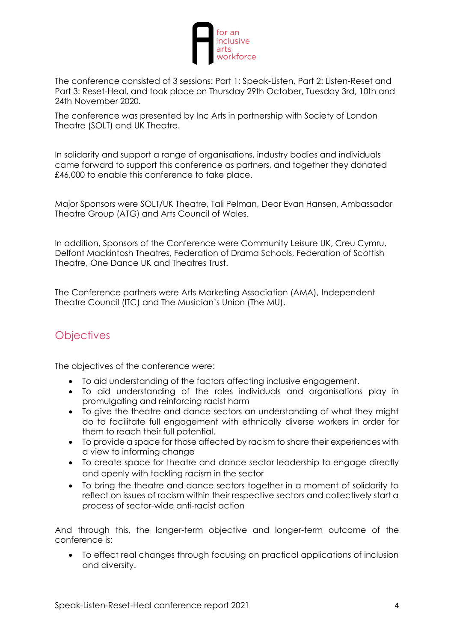

The conference consisted of 3 sessions: Part 1: Speak-Listen, Part 2: Listen-Reset and Part 3: Reset-Heal, and took place on Thursday 29th October, Tuesday 3rd, 10th and 24th November 2020.

The conference was presented by Inc Arts in partnership with Society of London Theatre (SOLT) and UK Theatre.

In solidarity and support a range of organisations, industry bodies and individuals came forward to support this conference as partners, and together they donated £46,000 to enable this conference to take place.

Major Sponsors were SOLT/UK Theatre, Tali Pelman, Dear Evan Hansen, Ambassador Theatre Group (ATG) and Arts Council of Wales.

In addition, Sponsors of the Conference were Community Leisure UK, Creu Cymru, Delfont Mackintosh Theatres, Federation of Drama Schools, Federation of Scottish Theatre, One Dance UK and Theatres Trust.

The Conference partners were Arts Marketing Association (AMA), Independent Theatre Council (ITC) and The Musician's Union (The MU).

## <span id="page-3-0"></span>**Objectives**

The objectives of the conference were:

- To aid understanding of the factors affecting inclusive engagement.
- To aid understanding of the roles individuals and organisations play in promulgating and reinforcing racist harm
- To give the theatre and dance sectors an understanding of what they might do to facilitate full engagement with ethnically diverse workers in order for them to reach their full potential.
- To provide a space for those affected by racism to share their experiences with a view to informing change
- To create space for theatre and dance sector leadership to engage directly and openly with tackling racism in the sector
- To bring the theatre and dance sectors together in a moment of solidarity to reflect on issues of racism within their respective sectors and collectively start a process of sector-wide anti-racist action

And through this, the longer-term objective and longer-term outcome of the conference is:

• To effect real changes through focusing on practical applications of inclusion and diversity.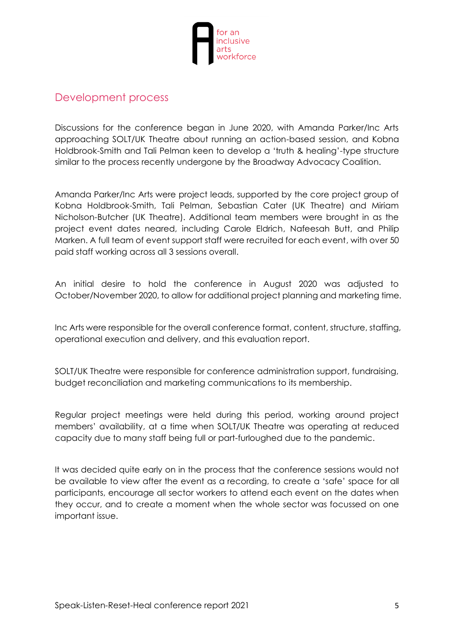

#### <span id="page-4-0"></span>Development process

Discussions for the conference began in June 2020, with Amanda Parker/Inc Arts approaching SOLT/UK Theatre about running an action-based session, and Kobna Holdbrook-Smith and Tali Pelman keen to develop a 'truth & healing'-type structure similar to the process recently undergone by the Broadway Advocacy Coalition.

Amanda Parker/Inc Arts were project leads, supported by the core project group of Kobna Holdbrook-Smith, Tali Pelman, Sebastian Cater (UK Theatre) and Miriam Nicholson-Butcher (UK Theatre). Additional team members were brought in as the project event dates neared, including Carole Eldrich, Nafeesah Butt, and Philip Marken. A full team of event support staff were recruited for each event, with over 50 paid staff working across all 3 sessions overall.

An initial desire to hold the conference in August 2020 was adjusted to October/November 2020, to allow for additional project planning and marketing time.

Inc Arts were responsible for the overall conference format, content, structure, staffing, operational execution and delivery, and this evaluation report.

SOLT/UK Theatre were responsible for conference administration support, fundraising, budget reconciliation and marketing communications to its membership.

Regular project meetings were held during this period, working around project members' availability, at a time when SOLT/UK Theatre was operating at reduced capacity due to many staff being full or part-furloughed due to the pandemic.

It was decided quite early on in the process that the conference sessions would not be available to view after the event as a recording, to create a 'safe' space for all participants, encourage all sector workers to attend each event on the dates when they occur, and to create a moment when the whole sector was focussed on one important issue.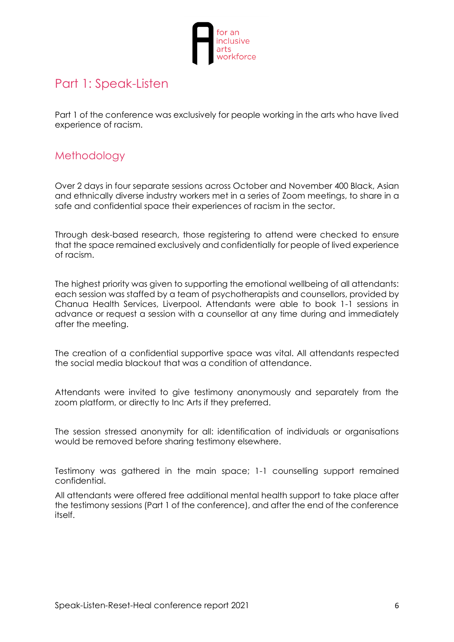

# <span id="page-5-0"></span>Part 1: Speak-Listen

Part 1 of the conference was exclusively for people working in the arts who have lived experience of racism.

### <span id="page-5-1"></span>**Methodology**

Over 2 days in four separate sessions across October and November 400 Black, Asian and ethnically diverse industry workers met in a series of Zoom meetings, to share in a safe and confidential space their experiences of racism in the sector.

Through desk-based research, those registering to attend were checked to ensure that the space remained exclusively and confidentially for people of lived experience of racism.

The highest priority was given to supporting the emotional wellbeing of all attendants: each session was staffed by a team of psychotherapists and counsellors, provided by Chanua Health Services, Liverpool. Attendants were able to book 1-1 sessions in advance or request a session with a counsellor at any time during and immediately after the meeting.

The creation of a confidential supportive space was vital. All attendants respected the social media blackout that was a condition of attendance.

Attendants were invited to give testimony anonymously and separately from the zoom platform, or directly to Inc Arts if they preferred.

The session stressed anonymity for all: identification of individuals or organisations would be removed before sharing testimony elsewhere.

Testimony was gathered in the main space; 1-1 counselling support remained confidential.

All attendants were offered free additional mental health support to take place after the testimony sessions (Part 1 of the conference), and after the end of the conference itself.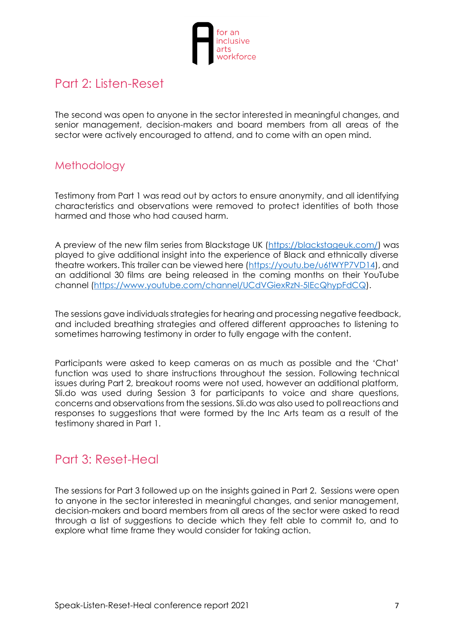

# <span id="page-6-0"></span>Part 2: Listen-Reset

The second was open to anyone in the sector interested in meaningful changes, and senior management, decision-makers and board members from all areas of the sector were actively encouraged to attend, and to come with an open mind.

## <span id="page-6-1"></span>**Methodology**

Testimony from Part 1 was read out by actors to ensure anonymity, and all identifying characteristics and observations were removed to protect identities of both those harmed and those who had caused harm.

A preview of the new film series from Blackstage UK [\(https://blackstageuk.com/\)](https://blackstageuk.com/) was played to give additional insight into the experience of Black and ethnically diverse theatre workers. This trailer can be viewed here [\(https://youtu.be/u6tWYP7VD14\)](https://youtu.be/u6tWYP7VD14), and an additional 30 films are being released in the coming months on their YouTube channel [\(https://www.youtube.com/channel/UCdVGiexRzN-5IEcQhypFdCQ\)](https://www.youtube.com/channel/UCdVGiexRzN-5IEcQhypFdCQ).

The sessions gave individuals strategies for hearing and processing negative feedback, and included breathing strategies and offered different approaches to listening to sometimes harrowing testimony in order to fully engage with the content.

Participants were asked to keep cameras on as much as possible and the 'Chat' function was used to share instructions throughout the session. Following technical issues during Part 2, breakout rooms were not used, however an additional platform, Sli.do was used during Session 3 for participants to voice and share questions, concerns and observations from the sessions. Sli.do was also used to poll reactions and responses to suggestions that were formed by the Inc Arts team as a result of the testimony shared in Part 1.

# <span id="page-6-2"></span>Part 3: Reset-Heal

The sessions for Part 3 followed up on the insights gained in Part 2. Sessions were open to anyone in the sector interested in meaningful changes, and senior management, decision-makers and board members from all areas of the sector were asked to read through a list of suggestions to decide which they felt able to commit to, and to explore what time frame they would consider for taking action.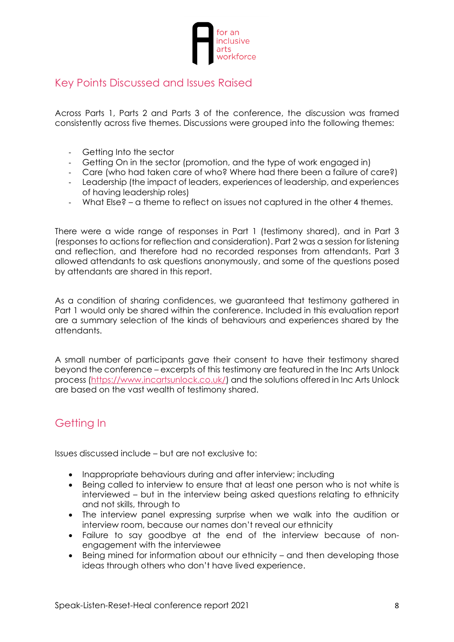

#### <span id="page-7-0"></span>Key Points Discussed and Issues Raised

Across Parts 1, Parts 2 and Parts 3 of the conference, the discussion was framed consistently across five themes. Discussions were grouped into the following themes:

- Getting Into the sector
- Getting On in the sector (promotion, and the type of work engaged in)
- Care (who had taken care of who? Where had there been a failure of care?)
- Leadership (the impact of leaders, experiences of leadership, and experiences of having leadership roles)
- What Else? a theme to reflect on issues not captured in the other 4 themes.

There were a wide range of responses in Part 1 (testimony shared), and in Part 3 (responses to actions for reflection and consideration). Part 2 was a session for listening and reflection, and therefore had no recorded responses from attendants. Part 3 allowed attendants to ask questions anonymously, and some of the questions posed by attendants are shared in this report.

As a condition of sharing confidences, we guaranteed that testimony gathered in Part 1 would only be shared within the conference. Included in this evaluation report are a summary selection of the kinds of behaviours and experiences shared by the attendants.

A small number of participants gave their consent to have their testimony shared beyond the conference – excerpts of this testimony are featured in the Inc Arts Unlock process [\(https://www.incartsunlock.co.uk/\)](https://www.incartsunlock.co.uk/) and the solutions offered in Inc Arts Unlock are based on the vast wealth of testimony shared.

## <span id="page-7-1"></span>Getting In

Issues discussed include – but are not exclusive to:

- Inappropriate behaviours during and after interview; including
- Being called to interview to ensure that at least one person who is not white is interviewed – but in the interview being asked questions relating to ethnicity and not skills, through to
- The interview panel expressing surprise when we walk into the audition or interview room, because our names don't reveal our ethnicity
- Failure to say goodbye at the end of the interview because of nonengagement with the interviewee
- Being mined for information about our ethnicity and then developing those ideas through others who don't have lived experience.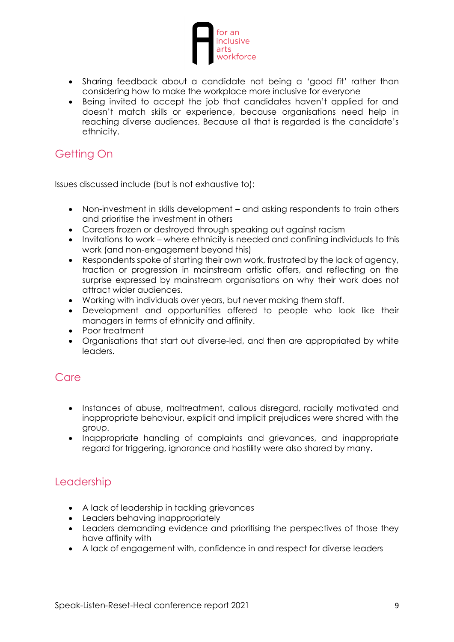

- Sharing feedback about a candidate not being a 'good fit' rather than considering how to make the workplace more inclusive for everyone
- Being invited to accept the job that candidates haven't applied for and doesn't match skills or experience, because organisations need help in reaching diverse audiences. Because all that is regarded is the candidate's ethnicity.

# <span id="page-8-0"></span>Getting On

Issues discussed include (but is not exhaustive to):

- Non-investment in skills development and asking respondents to train others and prioritise the investment in others
- Careers frozen or destroyed through speaking out against racism
- Invitations to work where ethnicity is needed and confining individuals to this work (and non-engagement beyond this)
- Respondents spoke of starting their own work, frustrated by the lack of agency, traction or progression in mainstream artistic offers, and reflecting on the surprise expressed by mainstream organisations on why their work does not attract wider audiences.
- Working with individuals over years, but never making them staff.
- Development and opportunities offered to people who look like their managers in terms of ethnicity and affinity.
- Poor treatment
- Organisations that start out diverse-led, and then are appropriated by white leaders.

#### <span id="page-8-1"></span>**Care**

- Instances of abuse, maltreatment, callous disregard, racially motivated and inappropriate behaviour, explicit and implicit prejudices were shared with the group.
- Inappropriate handling of complaints and grievances, and inappropriate regard for triggering, ignorance and hostility were also shared by many.

#### <span id="page-8-2"></span>Leadership

- A lack of leadership in tackling grievances
- Leaders behaving inappropriately
- Leaders demanding evidence and prioritising the perspectives of those they have affinity with
- A lack of engagement with, confidence in and respect for diverse leaders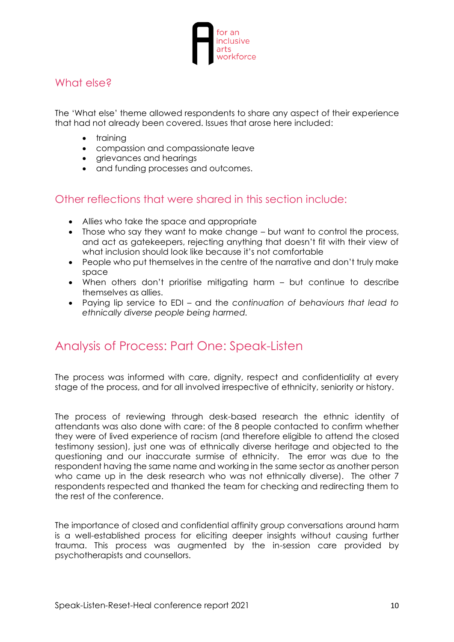

#### <span id="page-9-0"></span>What else?

The 'What else' theme allowed respondents to share any aspect of their experience that had not already been covered. Issues that arose here included:

- training
- compassion and compassionate leave
- grievances and hearings
- and funding processes and outcomes.

#### <span id="page-9-1"></span>Other reflections that were shared in this section include:

- Allies who take the space and appropriate
- Those who say they want to make change but want to control the process, and act as gatekeepers, rejecting anything that doesn't fit with their view of what inclusion should look like because it's not comfortable
- People who put themselves in the centre of the narrative and don't truly make space
- When others don't prioritise mitigating harm but continue to describe themselves as allies.
- Paying lip service to EDI and the *continuation of behaviours that lead to ethnically diverse people being harmed.*

## <span id="page-9-2"></span>Analysis of Process: Part One: Speak-Listen

The process was informed with care, dignity, respect and confidentiality at every stage of the process, and for all involved irrespective of ethnicity, seniority or history.

The process of reviewing through desk-based research the ethnic identity of attendants was also done with care: of the 8 people contacted to confirm whether they were of lived experience of racism (and therefore eligible to attend the closed testimony session), just one was of ethnically diverse heritage and objected to the questioning and our inaccurate surmise of ethnicity. The error was due to the respondent having the same name and working in the same sector as another person who came up in the desk research who was not ethnically diverse). The other 7 respondents respected and thanked the team for checking and redirecting them to the rest of the conference.

The importance of closed and confidential affinity group conversations around harm is a well-established process for eliciting deeper insights without causing further trauma. This process was augmented by the in-session care provided by psychotherapists and counsellors.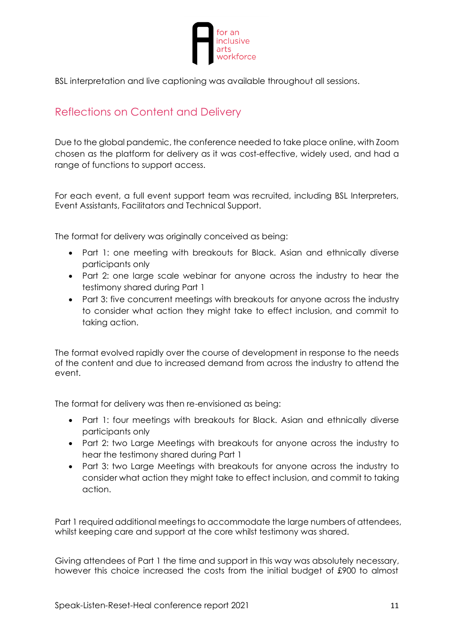

BSL interpretation and live captioning was available throughout all sessions.

### <span id="page-10-0"></span>Reflections on Content and Delivery

Due to the global pandemic, the conference needed to take place online, with Zoom chosen as the platform for delivery as it was cost-effective, widely used, and had a range of functions to support access.

For each event, a full event support team was recruited, including BSL Interpreters, Event Assistants, Facilitators and Technical Support.

The format for delivery was originally conceived as being:

- Part 1: one meeting with breakouts for Black. Asian and ethnically diverse participants only
- Part 2: one large scale webinar for anyone across the industry to hear the testimony shared during Part 1
- Part 3: five concurrent meetings with breakouts for anyone across the industry to consider what action they might take to effect inclusion, and commit to taking action.

The format evolved rapidly over the course of development in response to the needs of the content and due to increased demand from across the industry to attend the event.

The format for delivery was then re-envisioned as being:

- Part 1: four meetings with breakouts for Black. Asian and ethnically diverse participants only
- Part 2: two Large Meetings with breakouts for anyone across the industry to hear the testimony shared during Part 1
- Part 3: two Large Meetings with breakouts for anyone across the industry to consider what action they might take to effect inclusion, and commit to taking action.

Part 1 required additional meetings to accommodate the large numbers of attendees, whilst keeping care and support at the core whilst testimony was shared.

Giving attendees of Part 1 the time and support in this way was absolutely necessary, however this choice increased the costs from the initial budget of £900 to almost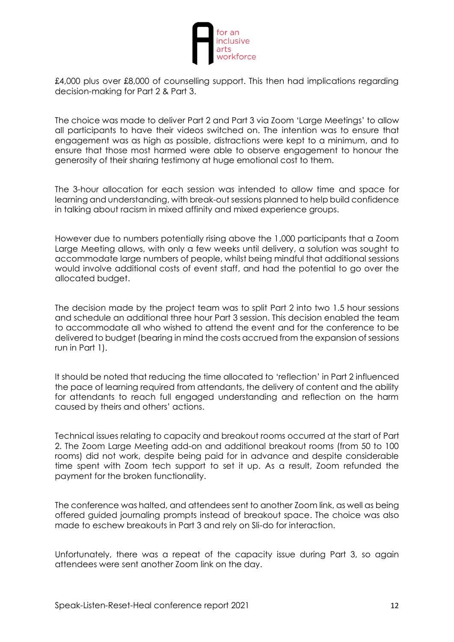

£4,000 plus over £8,000 of counselling support. This then had implications regarding decision-making for Part 2 & Part 3.

The choice was made to deliver Part 2 and Part 3 via Zoom 'Large Meetings' to allow all participants to have their videos switched on. The intention was to ensure that engagement was as high as possible, distractions were kept to a minimum, and to ensure that those most harmed were able to observe engagement to honour the generosity of their sharing testimony at huge emotional cost to them.

The 3-hour allocation for each session was intended to allow time and space for learning and understanding, with break-out sessions planned to help build confidence in talking about racism in mixed affinity and mixed experience groups.

However due to numbers potentially rising above the 1,000 participants that a Zoom Large Meeting allows, with only a few weeks until delivery, a solution was sought to accommodate large numbers of people, whilst being mindful that additional sessions would involve additional costs of event staff, and had the potential to go over the allocated budget.

The decision made by the project team was to split Part 2 into two 1.5 hour sessions and schedule an additional three hour Part 3 session. This decision enabled the team to accommodate all who wished to attend the event and for the conference to be delivered to budget (bearing in mind the costs accrued from the expansion of sessions run in Part 1).

It should be noted that reducing the time allocated to 'reflection' in Part 2 influenced the pace of learning required from attendants, the delivery of content and the ability for attendants to reach full engaged understanding and reflection on the harm caused by theirs and others' actions.

Technical issues relating to capacity and breakout rooms occurred at the start of Part 2. The Zoom Large Meeting add-on and additional breakout rooms (from 50 to 100 rooms) did not work, despite being paid for in advance and despite considerable time spent with Zoom tech support to set it up. As a result, Zoom refunded the payment for the broken functionality.

The conference was halted, and attendees sent to another Zoom link, as well as being offered guided journaling prompts instead of breakout space. The choice was also made to eschew breakouts in Part 3 and rely on Sli-do for interaction.

Unfortunately, there was a repeat of the capacity issue during Part 3, so again attendees were sent another Zoom link on the day.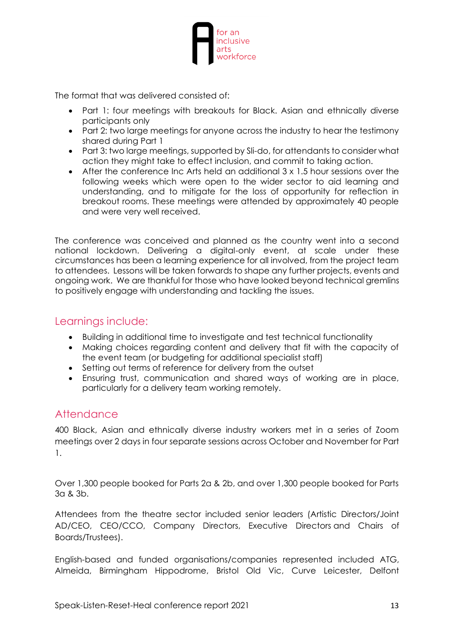

The format that was delivered consisted of:

- Part 1: four meetings with breakouts for Black. Asian and ethnically diverse participants only
- Part 2: two large meetings for anyone across the industry to hear the testimony shared during Part 1
- Part 3: two large meetings, supported by Sli-do, for attendants to consider what action they might take to effect inclusion, and commit to taking action.
- After the conference Inc Arts held an additional 3 x 1.5 hour sessions over the following weeks which were open to the wider sector to aid learning and understanding, and to mitigate for the loss of opportunity for reflection in breakout rooms. These meetings were attended by approximately 40 people and were very well received.

The conference was conceived and planned as the country went into a second national lockdown. Delivering a digital-only event, at scale under these circumstances has been a learning experience for all involved, from the project team to attendees. Lessons will be taken forwards to shape any further projects, events and ongoing work. We are thankful for those who have looked beyond technical gremlins to positively engage with understanding and tackling the issues.

#### <span id="page-12-0"></span>Learnings include:

- Building in additional time to investigate and test technical functionality
- Making choices regarding content and delivery that fit with the capacity of the event team (or budgeting for additional specialist staff)
- Setting out terms of reference for delivery from the outset
- Ensuring trust, communication and shared ways of working are in place, particularly for a delivery team working remotely.

#### <span id="page-12-1"></span>**Attendance**

400 Black, Asian and ethnically diverse industry workers met in a series of Zoom meetings over 2 days in four separate sessions across October and November for Part 1.

Over 1,300 people booked for Parts 2a & 2b, and over 1,300 people booked for Parts 3a & 3b.

Attendees from the theatre sector included senior leaders (Artistic Directors/Joint AD/CEO, CEO/CCO, Company Directors, Executive Directors and Chairs of Boards/Trustees).

English-based and funded organisations/companies represented included ATG, Almeida, Birmingham Hippodrome, Bristol Old Vic, Curve Leicester, Delfont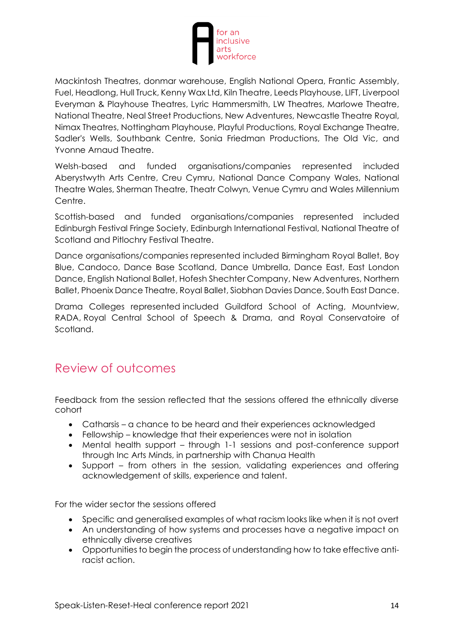

Mackintosh Theatres, donmar warehouse, English National Opera, Frantic Assembly, Fuel, Headlong, Hull Truck, Kenny Wax Ltd, Kiln Theatre, Leeds Playhouse, LIFT, Liverpool Everyman & Playhouse Theatres, Lyric Hammersmith, LW Theatres, Marlowe Theatre, National Theatre, Neal Street Productions, New Adventures, Newcastle Theatre Royal, Nimax Theatres, Nottingham Playhouse, Playful Productions, Royal Exchange Theatre, Sadler's Wells, Southbank Centre, Sonia Friedman Productions, The Old Vic, and Yvonne Arnaud Theatre.

Welsh-based and funded organisations/companies represented included Aberystwyth Arts Centre, Creu Cymru, National Dance Company Wales, National Theatre Wales, Sherman Theatre, Theatr Colwyn, Venue Cymru and Wales Millennium Centre.

Scottish-based and funded organisations/companies represented included Edinburgh Festival Fringe Society, Edinburgh International Festival, National Theatre of Scotland and Pitlochry Festival Theatre.

Dance organisations/companies represented included Birmingham Royal Ballet, Boy Blue, Candoco, Dance Base Scotland, Dance Umbrella, Dance East, East London Dance, English National Ballet, Hofesh Shechter Company, New Adventures, Northern Ballet, Phoenix Dance Theatre, Royal Ballet, Siobhan Davies Dance, South East Dance.

Drama Colleges represented included Guildford School of Acting, Mountview, RADA, Royal Central School of Speech & Drama, and Royal Conservatoire of Scotland.

# <span id="page-13-0"></span>Review of outcomes

Feedback from the session reflected that the sessions offered the ethnically diverse cohort

- Catharsis a chance to be heard and their experiences acknowledged
- Fellowship knowledge that their experiences were not in isolation
- Mental health support through 1-1 sessions and post-conference support through Inc Arts Minds, in partnership with Chanua Health
- Support from others in the session, validating experiences and offering acknowledgement of skills, experience and talent.

For the wider sector the sessions offered

- Specific and generalised examples of what racism looks like when it is not overt
- An understanding of how systems and processes have a negative impact on ethnically diverse creatives
- Opportunities to begin the process of understanding how to take effective antiracist action.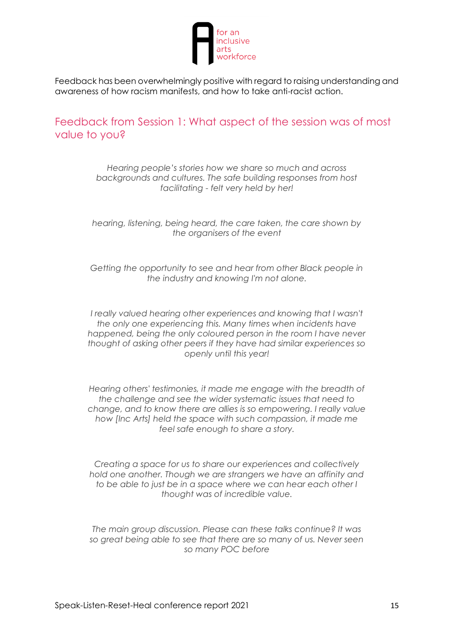

Feedback has been overwhelmingly positive with regard to raising understanding and awareness of how racism manifests, and how to take anti-racist action.

<span id="page-14-0"></span>Feedback from Session 1: What aspect of the session was of most value to you?

> *Hearing people's stories how we share so much and across backgrounds and cultures. The safe building responses from host facilitating - felt very held by her!*

*hearing, listening, being heard, the care taken, the care shown by the organisers of the event*

*Getting the opportunity to see and hear from other Black people in the industry and knowing I'm not alone.*

*I really valued hearing other experiences and knowing that I wasn't the only one experiencing this. Many times when incidents have happened, being the only coloured person in the room I have never thought of asking other peers if they have had similar experiences so openly until this year!*

*Hearing others' testimonies, it made me engage with the breadth of the challenge and see the wider systematic issues that need to change, and to know there are allies is so empowering. I really value how [Inc Arts] held the space with such compassion, it made me feel safe enough to share a story.*

*Creating a space for us to share our experiences and collectively hold one another. Though we are strangers we have an affinity and to be able to just be in a space where we can hear each other I thought was of incredible value.*

*The main group discussion. Please can these talks continue? It was so great being able to see that there are so many of us. Never seen so many POC before*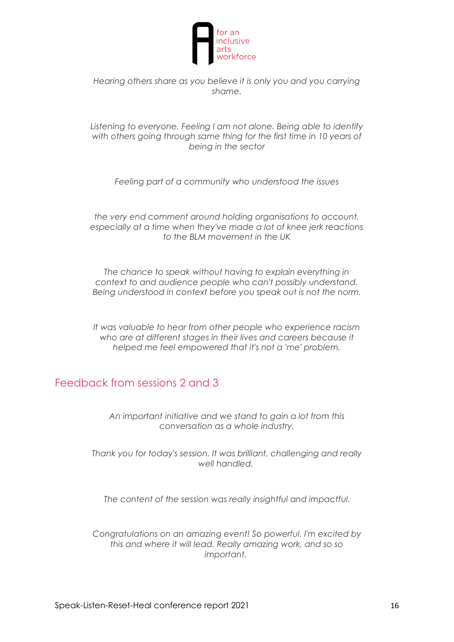

*Hearing others share as you believe it is only you and you carrying shame.*

*Listening to everyone. Feeling I am not alone. Being able to identify with others going through same thing for the first time in 10 years of being in the sector*

*Feeling part of a community who understood the issues*

*the very end comment around holding organisations to account, especially at a time when they've made a lot of knee jerk reactions to the BLM movement in the UK*

*The chance to speak without having to explain everything in context to and audience people who can't possibly understand. Being understood in context before you speak out is not the norm.*

*It was valuable to hear from other people who experience racism who are at different stages in their lives and careers because it helped me feel empowered that it's not a 'me' problem.*

## <span id="page-15-0"></span>Feedback from sessions 2 and 3

*An important initiative and we stand to gain a lot from this conversation as a whole industry.*

*Thank you for today's session. It was brilliant, challenging and really well handled.*

*The content of the session was really insightful and impactful.*

*Congratulations on an amazing event! So powerful. I'm excited by this and where it will lead. Really amazing work, and so so important.*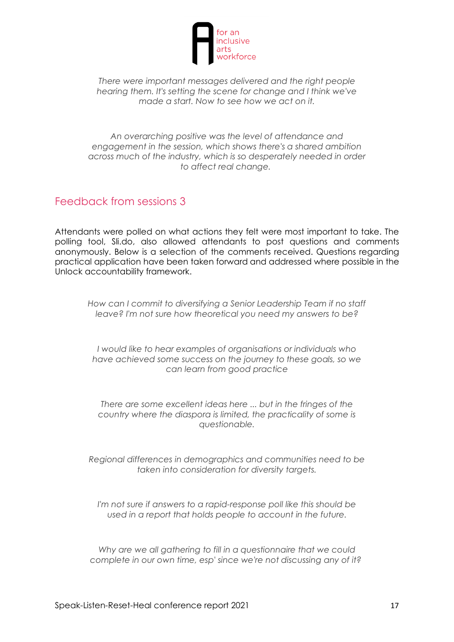

*There were important messages delivered and the right people hearing them. It's setting the scene for change and I think we've made a start. Now to see how we act on it.*

*An overarching positive was the level of attendance and engagement in the session, which shows there's a shared ambition across much of the industry, which is so desperately needed in order to affect real change.*

#### <span id="page-16-0"></span>Feedback from sessions 3

Attendants were polled on what actions they felt were most important to take. The polling tool, Sli.do, also allowed attendants to post questions and comments anonymously. Below is a selection of the comments received. Questions regarding practical application have been taken forward and addressed where possible in the Unlock accountability framework.

*How can I commit to diversifying a Senior Leadership Team if no staff leave? I'm not sure how theoretical you need my answers to be?*

*I would like to hear examples of organisations or individuals who have achieved some success on the journey to these goals, so we can learn from good practice*

*There are some excellent ideas here ... but in the fringes of the country where the diaspora is limited, the practicality of some is questionable.*

*Regional differences in demographics and communities need to be taken into consideration for diversity targets.*

*I'm not sure if answers to a rapid-response poll like this should be used in a report that holds people to account in the future.*

*Why are we all gathering to fill in a questionnaire that we could complete in our own time, esp' since we're not discussing any of it?*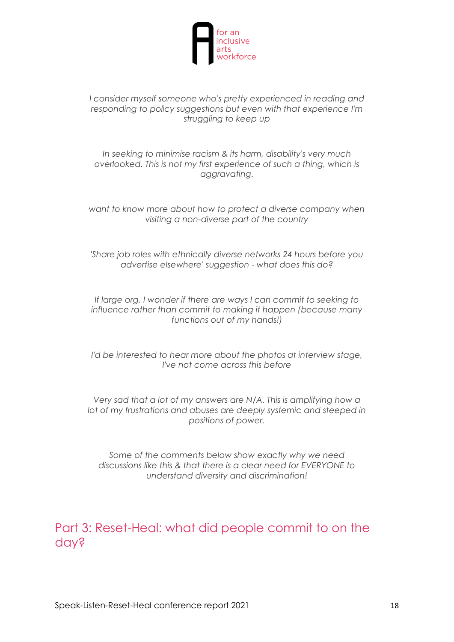

*I consider myself someone who's pretty experienced in reading and responding to policy suggestions but even with that experience I'm struggling to keep up*

*In seeking to minimise racism & its harm, disability's very much overlooked. This is not my first experience of such a thing, which is aggravating.*

*want to know more about how to protect a diverse company when visiting a non-diverse part of the country*

*'Share job roles with ethnically diverse networks 24 hours before you advertise elsewhere' suggestion - what does this do?*

*If large org, I wonder if there are ways I can commit to seeking to influence rather than commit to making it happen (because many functions out of my hands!)*

*I'd be interested to hear more about the photos at interview stage, I've not come across this before*

*Very sad that a lot of my answers are N/A. This is amplifying how a lot of my frustrations and abuses are deeply systemic and steeped in positions of power.*

*Some of the comments below show exactly why we need discussions like this & that there is a clear need for EVERYONE to understand diversity and discrimination!*

<span id="page-17-0"></span>Part 3: Reset-Heal: what did people commit to on the day?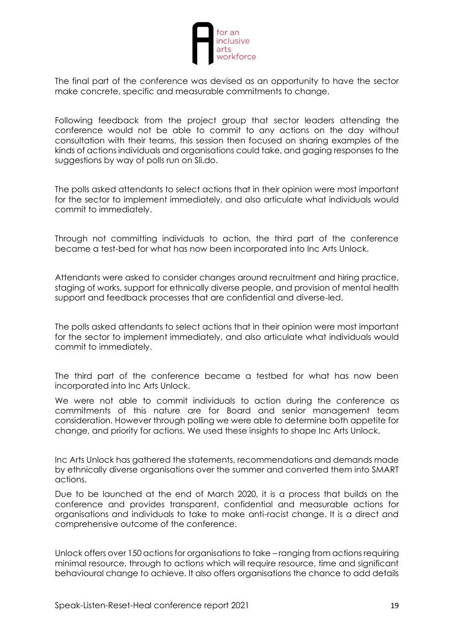

The final part of the conference was devised as an opportunity to have the sector make concrete, specific and measurable commitments to change.

Following feedback from the project group that sector leaders attending the conference would not be able to commit to any actions on the day without consultation with their teams, this session then focused on sharing examples of the kinds of actions individuals and organisations could take, and gaging responses to the suggestions by way of polls run on Sli.do.

The polls asked attendants to select actions that in their opinion were most important for the sector to implement immediately, and also articulate what individuals would commit to immediately.

Through not committing individuals to action, the third part of the conference became a test-bed for what has now been incorporated into Inc Arts Unlock.

Attendants were asked to consider changes around recruitment and hiring practice, staging of works, support for ethnically diverse people, and provision of mental health support and feedback processes that are confidential and diverse-led.

The polls asked attendants to select actions that in their opinion were most important for the sector to implement immediately, and also articulate what individuals would commit to immediately.

The third part of the conference became a testbed for what has now been incorporated into Inc Arts Unlock.

We were not able to commit individuals to action during the conference as commitments of this nature are for Board and senior management team consideration. However through polling we were able to determine both appetite for change, and priority for actions. We used these insights to shape Inc Arts Unlock.

Inc Arts Unlock has gathered the statements, recommendations and demands made by ethnically diverse organisations over the summer and converted them into SMART actions.

Due to be launched at the end of March 2020, it is a process that builds on the conference and provides transparent, confidential and measurable actions for organisations and individuals to take to make anti-racist change. It is a direct and comprehensive outcome of the conference.

Unlock offers over 150 actions for organisations to take – ranging from actions requiring minimal resource, through to actions which will require resource, time and significant behavioural change to achieve. It also offers organisations the chance to add details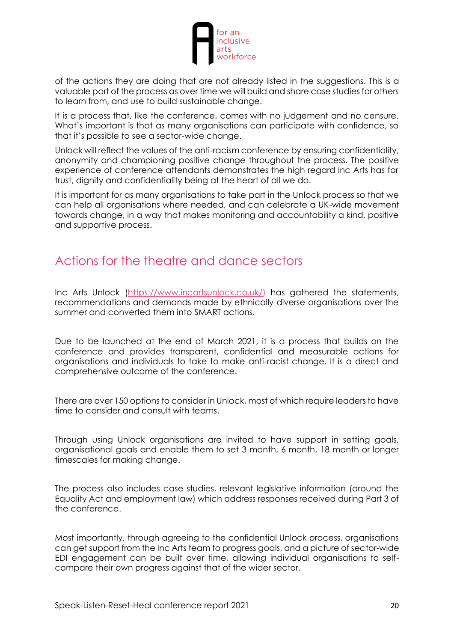

of the actions they are doing that are not already listed in the suggestions. This is a valuable part of the process as over time we will build and share case studies for others to learn from, and use to build sustainable change.

It is a process that, like the conference, comes with no judgement and no censure. What's important is that as many organisations can participate with confidence, so that it's possible to see a sector-wide change.

Unlock will reflect the values of the anti-racism conference by ensuring confidentiality, anonymity and championing positive change throughout the process. The positive experience of conference attendants demonstrates the high regard Inc Arts has for trust, dignity and confidentiality being at the heart of all we do.

It is important for as many organisations to take part in the Unlock process so that we can help all organisations where needed, and can celebrate a UK-wide movement towards change, in a way that makes monitoring and accountability a kind, positive and supportive process.

# <span id="page-19-0"></span>Actions for the theatre and dance sectors

Inc Arts Unlock [\(https://www.incartsunlock.co.uk/\)](https://www.incartsunlock.co.uk/) has gathered the statements, recommendations and demands made by ethnically diverse organisations over the summer and converted them into SMART actions.

Due to be launched at the end of March 2021, it is a process that builds on the conference and provides transparent, confidential and measurable actions for organisations and individuals to take to make anti-racist change. It is a direct and comprehensive outcome of the conference.

There are over 150 options to consider in Unlock, most of which require leaders to have time to consider and consult with teams.

Through using Unlock organisations are invited to have support in setting goals, organisational goals and enable them to set 3 month, 6 month, 18 month or longer timescales for making change.

The process also includes case studies, relevant legislative information (around the Equality Act and employment law) which address responses received during Part 3 of the conference.

Most importantly, through agreeing to the confidential Unlock process, organisations can get support from the Inc Arts team to progress goals, and a picture of sector-wide EDI engagement can be built over time, allowing individual organisations to selfcompare their own progress against that of the wider sector.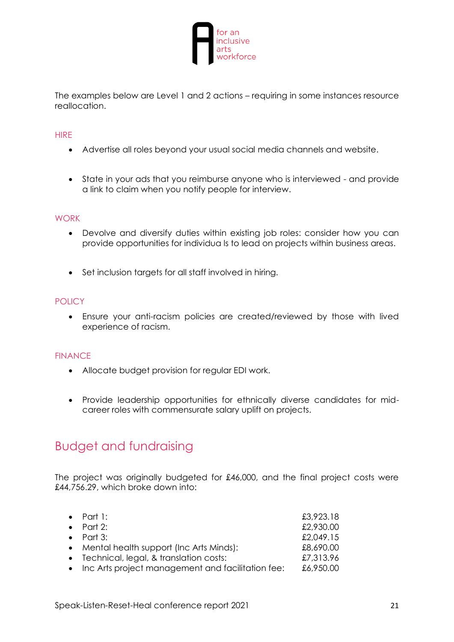

The examples below are Level 1 and 2 actions – requiring in some instances resource reallocation.

#### **HIRF**

- Advertise all roles beyond your usual social media channels and website.
- State in your ads that you reimburse anyone who is interviewed and provide a link to claim when you notify people for interview.

#### **WORK**

- Devolve and diversify duties within existing job roles: consider how you can provide opportunities for individua ls to lead on projects within business areas.
- Set inclusion targets for all staff involved in hiring.

#### **POLICY**

• Ensure your anti-racism policies are created/reviewed by those with lived experience of racism.

#### FINANCE

- Allocate budget provision for regular EDI work.
- Provide leadership opportunities for ethnically diverse candidates for midcareer roles with commensurate salary uplift on projects.

## <span id="page-20-0"></span>Budget and fundraising

The project was originally budgeted for £46,000, and the final project costs were £44,756.29, which broke down into:

| $\bullet$ Part 1:                                   | £3,923.18 |
|-----------------------------------------------------|-----------|
| • Part 2:                                           | £2,930.00 |
| • Part 3:                                           | £2,049.15 |
| • Mental health support (Inc Arts Minds):           | £8,690.00 |
| • Technical, legal, & translation costs:            | £7,313.96 |
| • Inc Arts project management and facilitation fee: | £6,950.00 |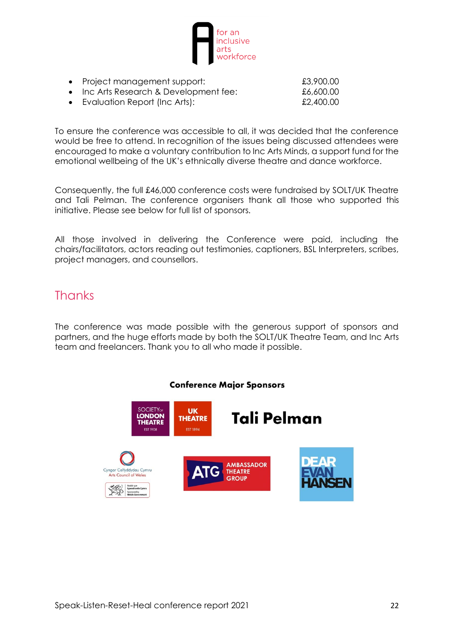

- Project management support:
- Inc Arts Research & Development fee:
- **Evaluation Report (Inc Arts):**

| £3,900.00 |  |
|-----------|--|
| £6,600.00 |  |
| £2,400.00 |  |

To ensure the conference was accessible to all, it was decided that the conference would be free to attend. In recognition of the issues being discussed attendees were encouraged to make a voluntary contribution to Inc Arts Minds, a support fund for the emotional wellbeing of the UK's ethnically diverse theatre and dance workforce.

Consequently, the full £46,000 conference costs were fundraised by SOLT/UK Theatre and Tali Pelman. The conference organisers thank all those who supported this initiative. Please see below for full list of sponsors.

All those involved in delivering the Conference were paid, including the chairs/facilitators, actors reading out testimonies, captioners, BSL Interpreters, scribes, project managers, and counsellors.

# <span id="page-21-0"></span>**Thanks**

The conference was made possible with the generous support of sponsors and partners, and the huge efforts made by both the SOLT/UK Theatre Team, and Inc Arts team and freelancers. Thank you to all who made it possible.